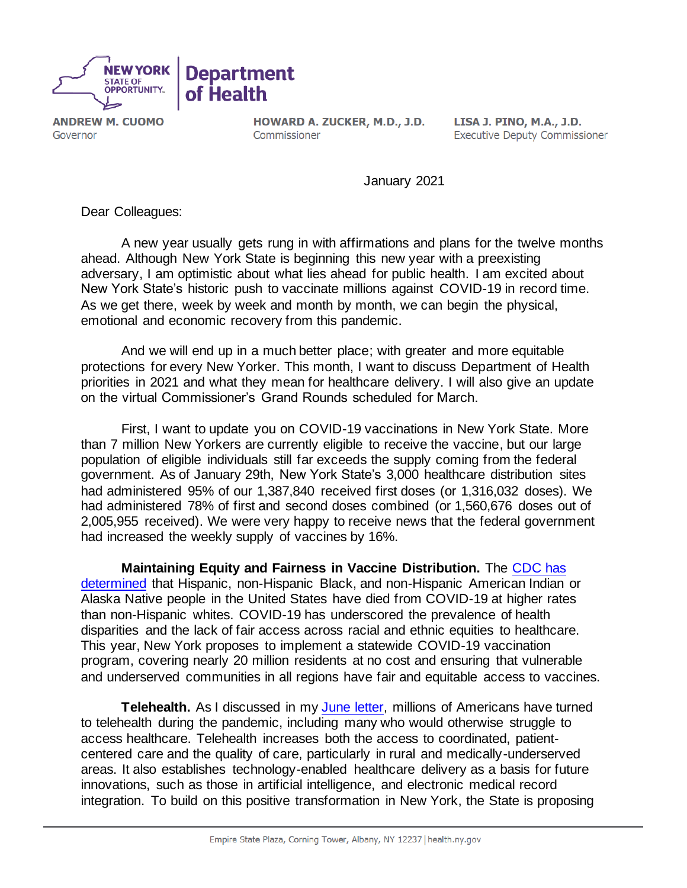

**ANDREW M. CUOMO** Governor

HOWARD A. ZUCKER, M.D., J.D. Commissioner

LISA J. PINO, M.A., J.D. **Executive Deputy Commissioner** 

January 2021

Dear Colleagues:

A new year usually gets rung in with affirmations and plans for the twelve months ahead. Although New York State is beginning this new year with a preexisting adversary, I am optimistic about what lies ahead for public health. I am excited about New York State's historic push to vaccinate millions against COVID-19 in record time. As we get there, week by week and month by month, we can begin the physical, emotional and economic recovery from this pandemic.

And we will end up in a much better place; with greater and more equitable protections for every New Yorker. This month, I want to discuss Department of Health priorities in 2021 and what they mean for healthcare delivery. I will also give an update on the virtual Commissioner's Grand Rounds scheduled for March.

First, I want to update you on COVID-19 vaccinations in New York State. More than 7 million New Yorkers are currently eligible to receive the vaccine, but our large population of eligible individuals still far exceeds the supply coming from the federal government. As of January 29th, New York State's 3,000 healthcare distribution sites had administered 95% of our 1,387,840 received first doses (or 1,316,032 doses). We had administered 78% of first and second doses combined (or 1,560,676 doses out of 2,005,955 received). We were very happy to receive news that the federal government had increased the weekly supply of vaccines by 16%.

**Maintaining Equity and Fairness in Vaccine Distribution.** The [CDC has](https://www.cdc.gov/coronavirus/2019-ncov/community/health-equity/racial-ethnic-disparities/disparities-deaths.html)  [determined](https://www.cdc.gov/coronavirus/2019-ncov/community/health-equity/racial-ethnic-disparities/disparities-deaths.html) that Hispanic, non-Hispanic Black, and non-Hispanic American Indian or Alaska Native people in the United States have died from COVID-19 at higher rates than non-Hispanic whites. COVID-19 has underscored the prevalence of health disparities and the lack of fair access across racial and ethnic equities to healthcare. This year, New York proposes to implement a statewide COVID-19 vaccination program, covering nearly 20 million residents at no cost and ensuring that vulnerable and underserved communities in all regions have fair and equitable access to vaccines.

**Telehealth.** As I discussed in my **June letter**, millions of Americans have turned to telehealth during the pandemic, including many who would otherwise struggle to access healthcare. Telehealth increases both the access to coordinated, patientcentered care and the quality of care, particularly in rural and medically-underserved areas. It also establishes technology-enabled healthcare delivery as a basis for future innovations, such as those in artificial intelligence, and electronic medical record integration. To build on this positive transformation in New York, the State is proposing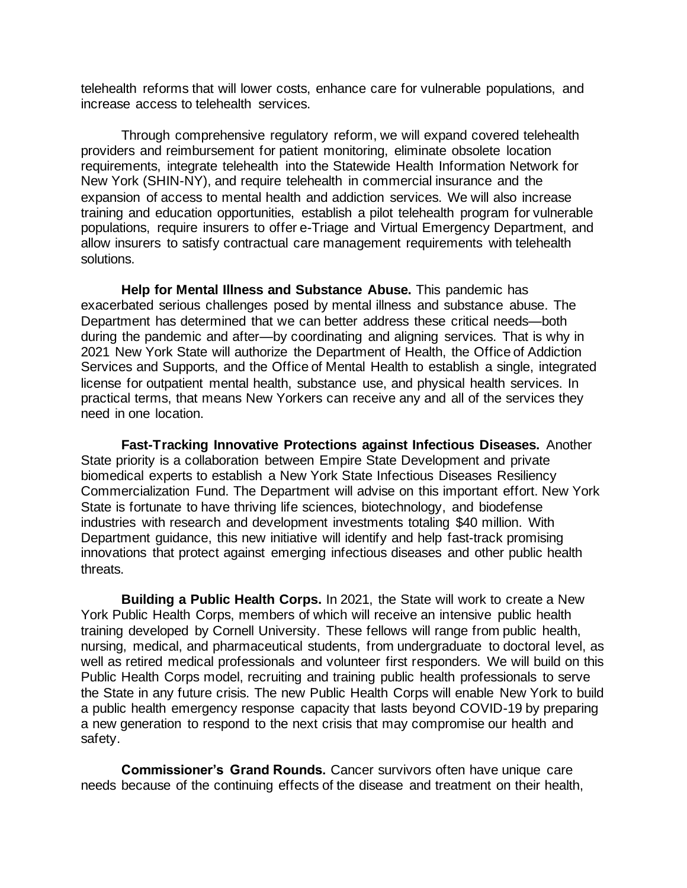telehealth reforms that will lower costs, enhance care for vulnerable populations, and increase access to telehealth services.

Through comprehensive regulatory reform, we will expand covered telehealth providers and reimbursement for patient monitoring, eliminate obsolete location requirements, integrate telehealth into the Statewide Health Information Network for New York (SHIN-NY), and require telehealth in commercial insurance and the expansion of access to mental health and addiction services. We will also increase training and education opportunities, establish a pilot telehealth program for vulnerable populations, require insurers to offer e-Triage and Virtual Emergency Department, and allow insurers to satisfy contractual care management requirements with telehealth solutions.

**Help for Mental Illness and Substance Abuse.** This pandemic has exacerbated serious challenges posed by mental illness and substance abuse. The Department has determined that we can better address these critical needs—both during the pandemic and after—by coordinating and aligning services. That is why in 2021 New York State will authorize the Department of Health, the Office of Addiction Services and Supports, and the Office of Mental Health to establish a single, integrated license for outpatient mental health, substance use, and physical health services. In practical terms, that means New Yorkers can receive any and all of the services they need in one location.

**Fast-Tracking Innovative Protections against Infectious Diseases.** Another State priority is a collaboration between Empire State Development and private biomedical experts to establish a New York State Infectious Diseases Resiliency Commercialization Fund. The Department will advise on this important effort. New York State is fortunate to have thriving life sciences, biotechnology, and biodefense industries with research and development investments totaling \$40 million. With Department guidance, this new initiative will identify and help fast-track promising innovations that protect against emerging infectious diseases and other public health threats.

**Building a Public Health Corps.** In 2021, the State will work to create a New York Public Health Corps, members of which will receive an intensive public health training developed by Cornell University. These fellows will range from public health, nursing, medical, and pharmaceutical students, from undergraduate to doctoral level, as well as retired medical professionals and volunteer first responders. We will build on this Public Health Corps model, recruiting and training public health professionals to serve the State in any future crisis. The new Public Health Corps will enable New York to build a public health emergency response capacity that lasts beyond COVID-19 by preparing a new generation to respond to the next crisis that may compromise our health and safety.

**Commissioner's Grand Rounds.** Cancer survivors often have unique care needs because of the continuing effects of the disease and treatment on their health,